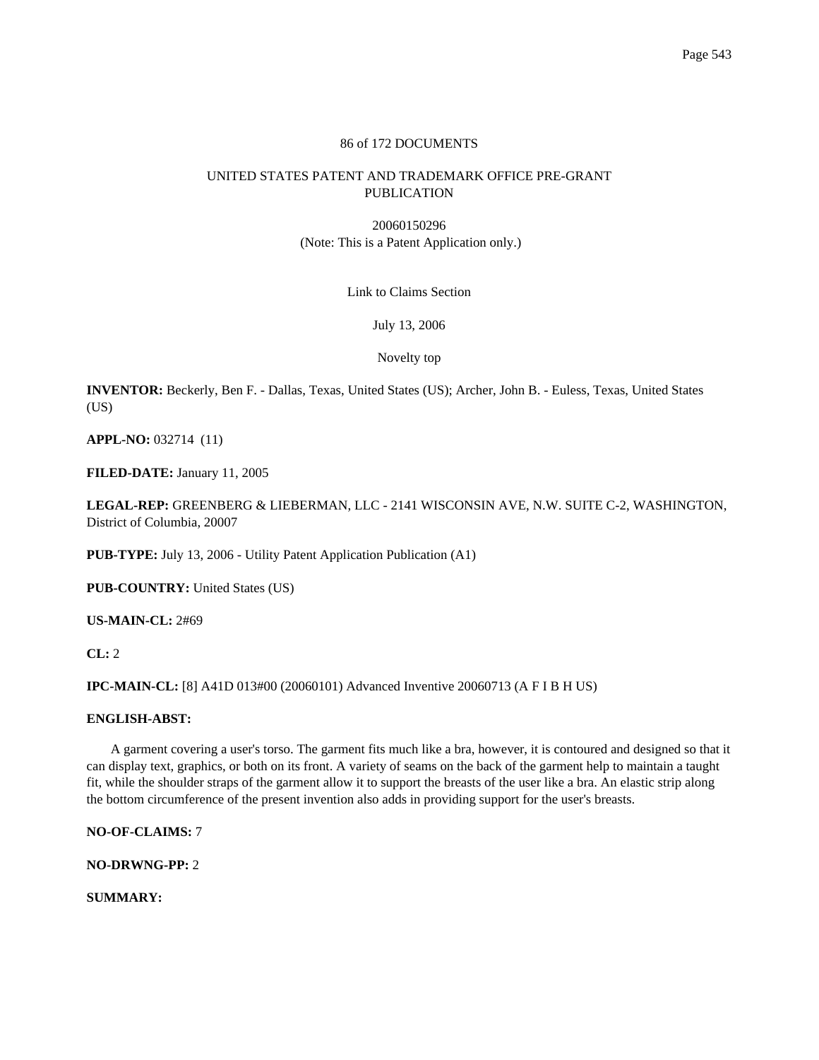# 86 of 172 DOCUMENTS

# UNITED STATES PATENT AND TRADEMARK OFFICE PRE-GRANT PUBLICATION

20060150296 (Note: This is a Patent Application only.)

Link to Claims Section

July 13, 2006

Novelty top

**INVENTOR:** Beckerly, Ben F. - Dallas, Texas, United States (US); Archer, John B. - Euless, Texas, United States  $(US)$ 

**APPL-NO:** 032714 (11)

**FILED-DATE:** January 11, 2005

**LEGAL-REP:** GREENBERG & LIEBERMAN, LLC - 2141 WISCONSIN AVE, N.W. SUITE C-2, WASHINGTON, District of Columbia, 20007

**PUB-TYPE:** July 13, 2006 - Utility Patent Application Publication (A1)

**PUB-COUNTRY:** United States (US)

**US-MAIN-CL:** 2#69

**CL:** 2

**IPC-MAIN-CL:** [8] A41D 013#00 (20060101) Advanced Inventive 20060713 (A F I B H US)

# **ENGLISH-ABST:**

A garment covering a user's torso. The garment fits much like a bra, however, it is contoured and designed so that it can display text, graphics, or both on its front. A variety of seams on the back of the garment help to maintain a taught fit, while the shoulder straps of the garment allow it to support the breasts of the user like a bra. An elastic strip along the bottom circumference of the present invention also adds in providing support for the user's breasts.

**NO-OF-CLAIMS:** 7

**NO-DRWNG-PP:** 2

**SUMMARY:**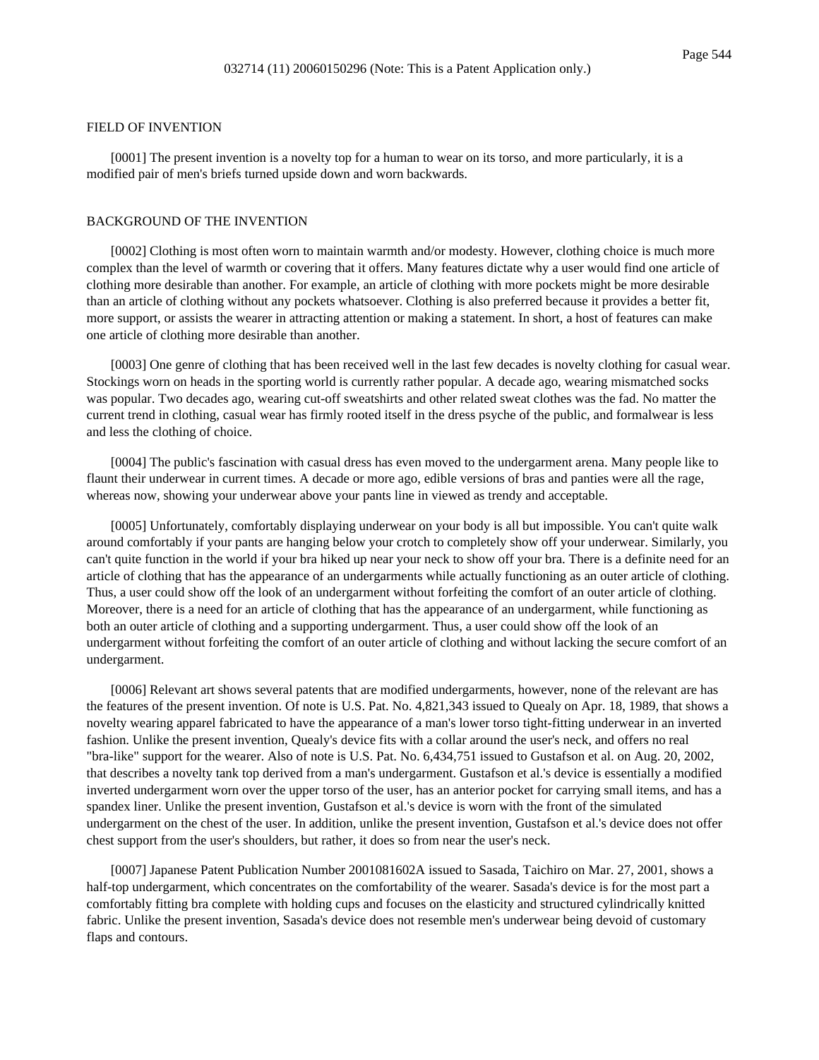#### FIELD OF INVENTION

[0001] The present invention is a novelty top for a human to wear on its torso, and more particularly, it is a modified pair of men's briefs turned upside down and worn backwards.

# BACKGROUND OF THE INVENTION

[0002] Clothing is most often worn to maintain warmth and/or modesty. However, clothing choice is much more complex than the level of warmth or covering that it offers. Many features dictate why a user would find one article of clothing more desirable than another. For example, an article of clothing with more pockets might be more desirable than an article of clothing without any pockets whatsoever. Clothing is also preferred because it provides a better fit, more support, or assists the wearer in attracting attention or making a statement. In short, a host of features can make one article of clothing more desirable than another.

[0003] One genre of clothing that has been received well in the last few decades is novelty clothing for casual wear. Stockings worn on heads in the sporting world is currently rather popular. A decade ago, wearing mismatched socks was popular. Two decades ago, wearing cut-off sweatshirts and other related sweat clothes was the fad. No matter the current trend in clothing, casual wear has firmly rooted itself in the dress psyche of the public, and formalwear is less and less the clothing of choice.

[0004] The public's fascination with casual dress has even moved to the undergarment arena. Many people like to flaunt their underwear in current times. A decade or more ago, edible versions of bras and panties were all the rage, whereas now, showing your underwear above your pants line in viewed as trendy and acceptable.

[0005] Unfortunately, comfortably displaying underwear on your body is all but impossible. You can't quite walk around comfortably if your pants are hanging below your crotch to completely show off your underwear. Similarly, you can't quite function in the world if your bra hiked up near your neck to show off your bra. There is a definite need for an article of clothing that has the appearance of an undergarments while actually functioning as an outer article of clothing. Thus, a user could show off the look of an undergarment without forfeiting the comfort of an outer article of clothing. Moreover, there is a need for an article of clothing that has the appearance of an undergarment, while functioning as both an outer article of clothing and a supporting undergarment. Thus, a user could show off the look of an undergarment without forfeiting the comfort of an outer article of clothing and without lacking the secure comfort of an undergarment.

[0006] Relevant art shows several patents that are modified undergarments, however, none of the relevant are has the features of the present invention. Of note is U.S. Pat. No. 4,821,343 issued to Quealy on Apr. 18, 1989, that shows a novelty wearing apparel fabricated to have the appearance of a man's lower torso tight-fitting underwear in an inverted fashion. Unlike the present invention, Quealy's device fits with a collar around the user's neck, and offers no real "bra-like" support for the wearer. Also of note is U.S. Pat. No. 6,434,751 issued to Gustafson et al. on Aug. 20, 2002, that describes a novelty tank top derived from a man's undergarment. Gustafson et al.'s device is essentially a modified inverted undergarment worn over the upper torso of the user, has an anterior pocket for carrying small items, and has a spandex liner. Unlike the present invention, Gustafson et al.'s device is worn with the front of the simulated undergarment on the chest of the user. In addition, unlike the present invention, Gustafson et al.'s device does not offer chest support from the user's shoulders, but rather, it does so from near the user's neck.

[0007] Japanese Patent Publication Number 2001081602A issued to Sasada, Taichiro on Mar. 27, 2001, shows a half-top undergarment, which concentrates on the comfortability of the wearer. Sasada's device is for the most part a comfortably fitting bra complete with holding cups and focuses on the elasticity and structured cylindrically knitted fabric. Unlike the present invention, Sasada's device does not resemble men's underwear being devoid of customary flaps and contours.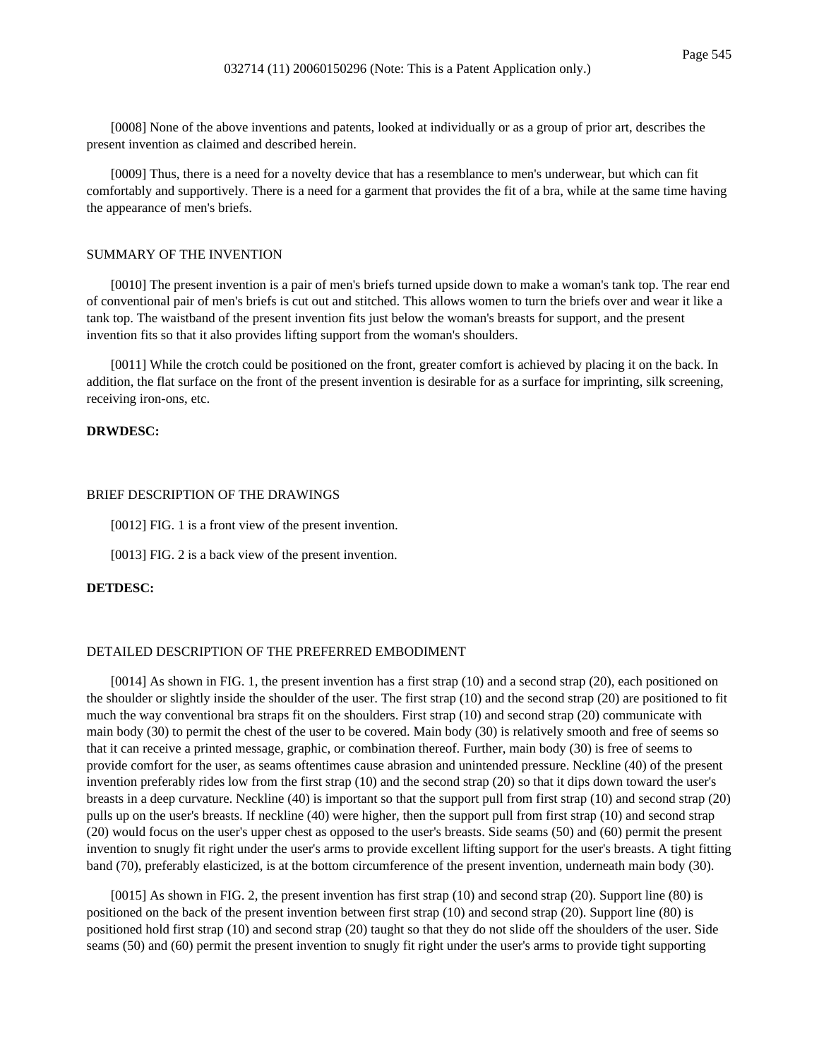[0008] None of the above inventions and patents, looked at individually or as a group of prior art, describes the present invention as claimed and described herein.

[0009] Thus, there is a need for a novelty device that has a resemblance to men's underwear, but which can fit comfortably and supportively. There is a need for a garment that provides the fit of a bra, while at the same time having the appearance of men's briefs.

#### SUMMARY OF THE INVENTION

[0010] The present invention is a pair of men's briefs turned upside down to make a woman's tank top. The rear end of conventional pair of men's briefs is cut out and stitched. This allows women to turn the briefs over and wear it like a tank top. The waistband of the present invention fits just below the woman's breasts for support, and the present invention fits so that it also provides lifting support from the woman's shoulders.

[0011] While the crotch could be positioned on the front, greater comfort is achieved by placing it on the back. In addition, the flat surface on the front of the present invention is desirable for as a surface for imprinting, silk screening, receiving iron-ons, etc.

### **DRWDESC:**

#### BRIEF DESCRIPTION OF THE DRAWINGS

[0012] FIG. 1 is a front view of the present invention.

[0013] FIG. 2 is a back view of the present invention.

### **DETDESC:**

### DETAILED DESCRIPTION OF THE PREFERRED EMBODIMENT

[0014] As shown in FIG. 1, the present invention has a first strap (10) and a second strap (20), each positioned on the shoulder or slightly inside the shoulder of the user. The first strap (10) and the second strap (20) are positioned to fit much the way conventional bra straps fit on the shoulders. First strap (10) and second strap (20) communicate with main body (30) to permit the chest of the user to be covered. Main body (30) is relatively smooth and free of seems so that it can receive a printed message, graphic, or combination thereof. Further, main body (30) is free of seems to provide comfort for the user, as seams oftentimes cause abrasion and unintended pressure. Neckline (40) of the present invention preferably rides low from the first strap (10) and the second strap (20) so that it dips down toward the user's breasts in a deep curvature. Neckline (40) is important so that the support pull from first strap (10) and second strap (20) pulls up on the user's breasts. If neckline (40) were higher, then the support pull from first strap (10) and second strap (20) would focus on the user's upper chest as opposed to the user's breasts. Side seams (50) and (60) permit the present invention to snugly fit right under the user's arms to provide excellent lifting support for the user's breasts. A tight fitting band (70), preferably elasticized, is at the bottom circumference of the present invention, underneath main body (30).

[0015] As shown in FIG. 2, the present invention has first strap (10) and second strap (20). Support line (80) is positioned on the back of the present invention between first strap (10) and second strap (20). Support line (80) is positioned hold first strap (10) and second strap (20) taught so that they do not slide off the shoulders of the user. Side seams (50) and (60) permit the present invention to snugly fit right under the user's arms to provide tight supporting